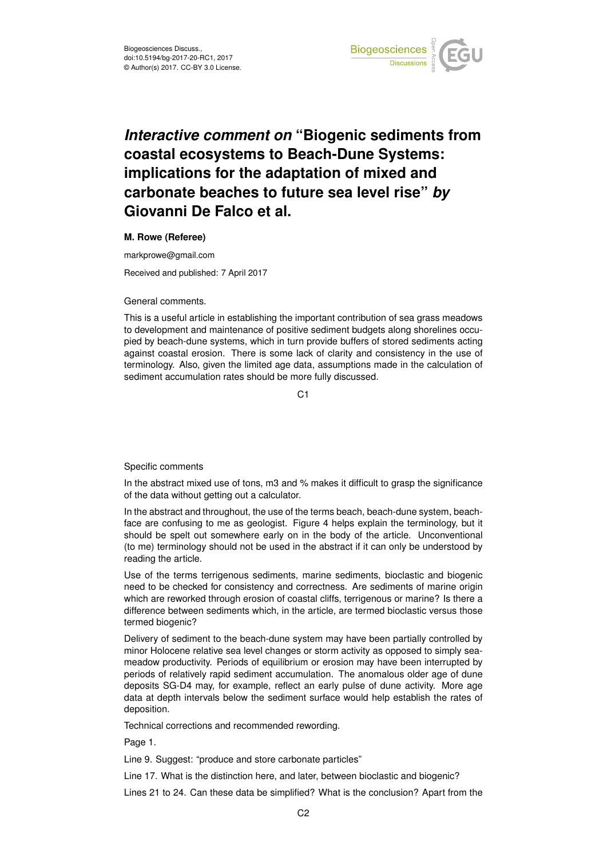

## *Interactive comment on* **"Biogenic sediments from coastal ecosystems to Beach-Dune Systems: implications for the adaptation of mixed and carbonate beaches to future sea level rise"** *by* **Giovanni De Falco et al.**

## **M. Rowe (Referee)**

markprowe@gmail.com

Received and published: 7 April 2017

## General comments.

This is a useful article in establishing the important contribution of sea grass meadows to development and maintenance of positive sediment budgets along shorelines occupied by beach-dune systems, which in turn provide buffers of stored sediments acting against coastal erosion. There is some lack of clarity and consistency in the use of terminology. Also, given the limited age data, assumptions made in the calculation of sediment accumulation rates should be more fully discussed.

C1

## Specific comments

In the abstract mixed use of tons, m3 and % makes it difficult to grasp the significance of the data without getting out a calculator.

In the abstract and throughout, the use of the terms beach, beach-dune system, beachface are confusing to me as geologist. Figure 4 helps explain the terminology, but it should be spelt out somewhere early on in the body of the article. Unconventional (to me) terminology should not be used in the abstract if it can only be understood by reading the article.

Use of the terms terrigenous sediments, marine sediments, bioclastic and biogenic need to be checked for consistency and correctness. Are sediments of marine origin which are reworked through erosion of coastal cliffs, terrigenous or marine? Is there a difference between sediments which, in the article, are termed bioclastic versus those termed biogenic?

Delivery of sediment to the beach-dune system may have been partially controlled by minor Holocene relative sea level changes or storm activity as opposed to simply seameadow productivity. Periods of equilibrium or erosion may have been interrupted by periods of relatively rapid sediment accumulation. The anomalous older age of dune deposits SG-D4 may, for example, reflect an early pulse of dune activity. More age data at depth intervals below the sediment surface would help establish the rates of deposition.

Technical corrections and recommended rewording.

Page 1.

Line 9. Suggest: "produce and store carbonate particles"

Line 17. What is the distinction here, and later, between bioclastic and biogenic?

Lines 21 to 24. Can these data be simplified? What is the conclusion? Apart from the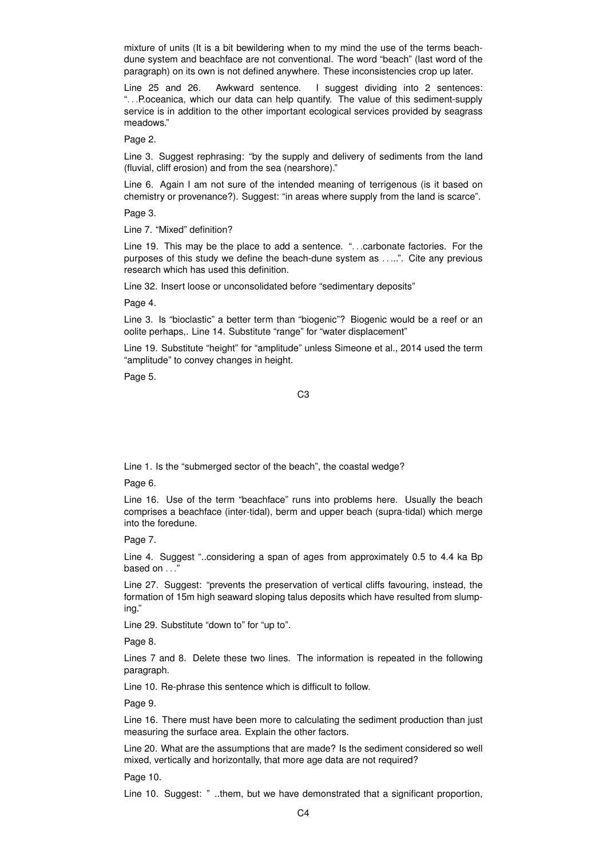mixture of units (It is a bit bewildering when to my mind the use of the terms beachdune system and beachface are not conventional. The word "beach" (last word of the paragraph) on its own is not defined anywhere. These inconsistencies crop up later.

Line 25 and 26. Awkward sentence. I suggest dividing into 2 sentences: ". . .P.oceanica, which our data can help quantify. The value of this sediment-supply service is in addition to the other important ecological services provided by seagrass meadows."

Page 2.

Line 3. Suggest rephrasing: "by the supply and delivery of sediments from the land (fluvial, cliff erosion) and from the sea (nearshore)."

Line 6. Again I am not sure of the intended meaning of terrigenous (is it based on chemistry or provenance?). Suggest: "in areas where supply from the land is scarce".

Page 3.

Line 7. "Mixed" definition?

Line 19. This may be the place to add a sentence. ". . .carbonate factories. For the purposes of this study we define the beach-dune system as . . ...". Cite any previous research which has used this definition.

Line 32. Insert loose or unconsolidated before "sedimentary deposits"

Page 4.

Line 3. Is "bioclastic" a better term than "biogenic"? Biogenic would be a reef or an oolite perhaps,. Line 14. Substitute "range" for "water displacement"

Line 19. Substitute "height" for "amplitude" unless Simeone et al., 2014 used the term "amplitude" to convey changes in height.

Page 5.

C3

Line 1. Is the "submerged sector of the beach", the coastal wedge?

Page 6.

Line 16. Use of the term "beachface" runs into problems here. Usually the beach comprises a beachface (inter-tidal), berm and upper beach (supra-tidal) which merge into the foredune.

Page 7.

Line 4. Suggest "..considering a span of ages from approximately 0.5 to 4.4 ka Bp based on  $\dots$ 

Line 27. Suggest: "prevents the preservation of vertical cliffs favouring, instead, the formation of 15m high seaward sloping talus deposits which have resulted from slumping."

Line 29. Substitute "down to" for "up to".

Page 8.

Lines 7 and 8. Delete these two lines. The information is repeated in the following paragraph.

Line 10. Re-phrase this sentence which is difficult to follow.

Page 9.

Line 16. There must have been more to calculating the sediment production than just measuring the surface area. Explain the other factors.

Line 20. What are the assumptions that are made? Is the sediment considered so well mixed, vertically and horizontally, that more age data are not required?

Page 10.

Line 10. Suggest: " ..them, but we have demonstrated that a significant proportion,